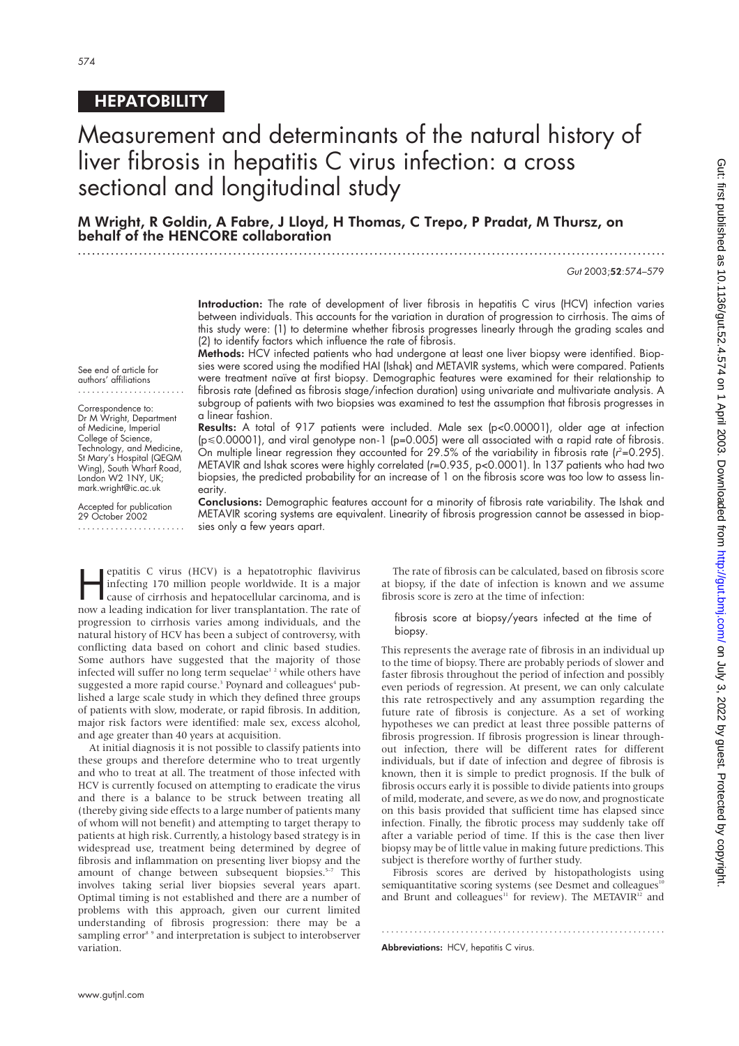# **HEPATOBILITY**

See end of article for authors' affiliations ....................... Correspondence to: Dr M Wright, Department of Medicine, Imperial College of Science, Technology, and Medicine, St Mary's Hospital (QEQM Wing), South Wharf Road, London W2 1NY, UK; mark.wright@ic.ac.uk Accepted for publication 29 October 2002 .......................

# Measurement and determinants of the natural history of liver fibrosis in hepatitis C virus infection: a cross sectional and longitudinal study

M Wright, R Goldin, A Fabre, J Lloyd, H Thomas, C Trepo, P Pradat, M Thursz, on behalf of the HENCORE collaboration .............................................................................................................................

*Gut* 2003;52:574–579

Introduction: The rate of development of liver fibrosis in hepatitis C virus (HCV) infection varies between individuals. This accounts for the variation in duration of progression to cirrhosis. The aims of this study were: (1) to determine whether fibrosis progresses linearly through the grading scales and (2) to identify factors which influence the rate of fibrosis.

Methods: HCV infected patients who had undergone at least one liver biopsy were identified. Biopsies were scored using the modified HAI (Ishak) and METAVIR systems, which were compared. Patients were treatment naïve at first biopsy. Demographic features were examined for their relationship to fibrosis rate (defined as fibrosis stage/infection duration) using univariate and multivariate analysis. A subgroup of patients with two biopsies was examined to test the assumption that fibrosis progresses in a linear fashion.

Results: A total of 917 patients were included. Male sex (p<0.00001), older age at infection (p<0.00001), and viral genotype non-1 (p=0.005) were all associated with a rapid rate of fibrosis. On multiple linear regression they accounted for 29.5% of the variability in fibrosis rate (*r* 2 =0.295). METAVIR and Ishak scores were highly correlated (*r*=0.935, p<0.0001). In 137 patients who had two biopsies, the predicted probability for an increase of 1 on the fibrosis score was too low to assess linearity.

Conclusions: Demographic features account for a minority of fibrosis rate variability. The Ishak and METAVIR scoring systems are equivalent. Linearity of fibrosis progression cannot be assessed in biopsies only a few years apart.

**Example 120** epatitis C virus (HCV) is a hepatotrophic flavivirus<br>
infecting 170 million people worldwide. It is a major<br>
cause of cirrhosis and hepatocellular carcinoma, and is<br>
now a leading indication for liver transpl infecting 170 million people worldwide. It is a major now a leading indication for liver transplantation. The rate of progression to cirrhosis varies among individuals, and the natural history of HCV has been a subject of controversy, with conflicting data based on cohort and clinic based studies. Some authors have suggested that the majority of those infected will suffer no long term sequelae<sup>12</sup> while others have suggested a more rapid course.<sup>3</sup> Poynard and colleagues<sup>4</sup> published a large scale study in which they defined three groups of patients with slow, moderate, or rapid fibrosis. In addition, major risk factors were identified: male sex, excess alcohol, and age greater than 40 years at acquisition.

At initial diagnosis it is not possible to classify patients into these groups and therefore determine who to treat urgently and who to treat at all. The treatment of those infected with HCV is currently focused on attempting to eradicate the virus and there is a balance to be struck between treating all (thereby giving side effects to a large number of patients many of whom will not benefit) and attempting to target therapy to patients at high risk. Currently, a histology based strategy is in widespread use, treatment being determined by degree of fibrosis and inflammation on presenting liver biopsy and the amount of change between subsequent biopsies.<sup>5-7</sup> This involves taking serial liver biopsies several years apart. Optimal timing is not established and there are a number of problems with this approach, given our current limited understanding of fibrosis progression: there may be a sampling error<sup>8</sup> <sup>9</sup> and interpretation is subject to interobserver variation.

The rate of fibrosis can be calculated, based on fibrosis score at biopsy, if the date of infection is known and we assume fibrosis score is zero at the time of infection:

## fibrosis score at biopsy/years infected at the time of biopsy.

This represents the average rate of fibrosis in an individual up to the time of biopsy. There are probably periods of slower and faster fibrosis throughout the period of infection and possibly even periods of regression. At present, we can only calculate this rate retrospectively and any assumption regarding the future rate of fibrosis is conjecture. As a set of working hypotheses we can predict at least three possible patterns of fibrosis progression. If fibrosis progression is linear throughout infection, there will be different rates for different individuals, but if date of infection and degree of fibrosis is known, then it is simple to predict prognosis. If the bulk of fibrosis occurs early it is possible to divide patients into groups of mild, moderate, and severe, as we do now, and prognosticate on this basis provided that sufficient time has elapsed since infection. Finally, the fibrotic process may suddenly take off after a variable period of time. If this is the case then liver biopsy may be of little value in making future predictions. This subject is therefore worthy of further study.

Fibrosis scores are derived by histopathologists using semiquantitative scoring systems (see Desmet and colleagues and Brunt and colleagues<sup>11</sup> for review). The METAVIR<sup>12</sup> and

.............................................................

Abbreviations: HCV, hepatitis C virus.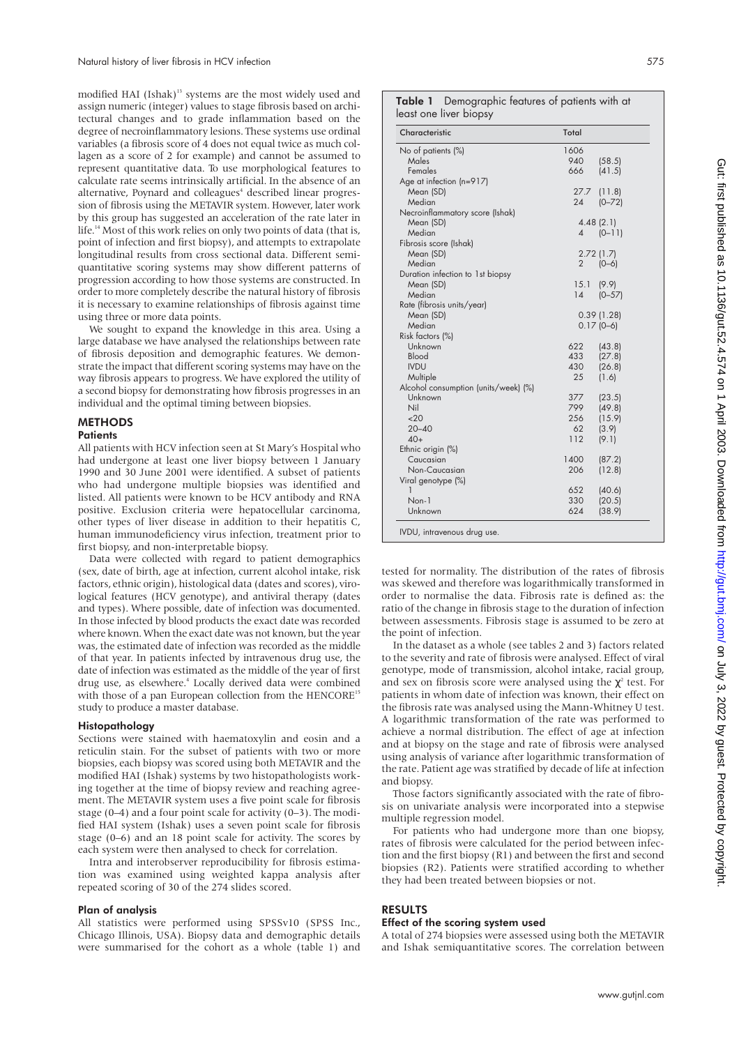modified HAI (Ishak)<sup>13</sup> systems are the most widely used and assign numeric (integer) values to stage fibrosis based on architectural changes and to grade inflammation based on the degree of necroinflammatory lesions. These systems use ordinal variables (a fibrosis score of 4 does not equal twice as much collagen as a score of 2 for example) and cannot be assumed to represent quantitative data. To use morphological features to calculate rate seems intrinsically artificial. In the absence of an alternative, Poynard and colleagues<sup>4</sup> described linear progression of fibrosis using the METAVIR system. However, later work by this group has suggested an acceleration of the rate later in life.<sup>14</sup> Most of this work relies on only two points of data (that is, point of infection and first biopsy), and attempts to extrapolate longitudinal results from cross sectional data. Different semiquantitative scoring systems may show different patterns of progression according to how those systems are constructed. In order to more completely describe the natural history of fibrosis it is necessary to examine relationships of fibrosis against time using three or more data points.

We sought to expand the knowledge in this area. Using a large database we have analysed the relationships between rate of fibrosis deposition and demographic features. We demonstrate the impact that different scoring systems may have on the way fibrosis appears to progress. We have explored the utility of a second biopsy for demonstrating how fibrosis progresses in an individual and the optimal timing between biopsies.

# **METHODS**

#### **Patients**

All patients with HCV infection seen at St Mary's Hospital who had undergone at least one liver biopsy between 1 January 1990 and 30 June 2001 were identified. A subset of patients who had undergone multiple biopsies was identified and listed. All patients were known to be HCV antibody and RNA positive. Exclusion criteria were hepatocellular carcinoma, other types of liver disease in addition to their hepatitis C, human immunodeficiency virus infection, treatment prior to first biopsy, and non-interpretable biopsy.

Data were collected with regard to patient demographics (sex, date of birth, age at infection, current alcohol intake, risk factors, ethnic origin), histological data (dates and scores), virological features (HCV genotype), and antiviral therapy (dates and types). Where possible, date of infection was documented. In those infected by blood products the exact date was recorded where known.When the exact date was not known, but the year was, the estimated date of infection was recorded as the middle of that year. In patients infected by intravenous drug use, the date of infection was estimated as the middle of the year of first drug use, as elsewhere.<sup>4</sup> Locally derived data were combined with those of a pan European collection from the HENCORE<sup>15</sup> study to produce a master database.

#### Histopathology

Sections were stained with haematoxylin and eosin and a reticulin stain. For the subset of patients with two or more biopsies, each biopsy was scored using both METAVIR and the modified HAI (Ishak) systems by two histopathologists working together at the time of biopsy review and reaching agreement. The METAVIR system uses a five point scale for fibrosis stage (0–4) and a four point scale for activity (0–3). The modified HAI system (Ishak) uses a seven point scale for fibrosis stage (0–6) and an 18 point scale for activity. The scores by each system were then analysed to check for correlation.

Intra and interobserver reproducibility for fibrosis estimation was examined using weighted kappa analysis after repeated scoring of 30 of the 274 slides scored.

## Plan of analysis

All statistics were performed using SPSSv10 (SPSS Inc., Chicago Illinois, USA). Biopsy data and demographic details were summarised for the cohort as a whole (table 1) and

| Table 1 Demographic features of patients with at |  |  |
|--------------------------------------------------|--|--|
| least one liver biopsy                           |  |  |

| Characteristic                       | Total          |               |
|--------------------------------------|----------------|---------------|
| No of patients (%)                   | 1606           |               |
| Males                                | 940            | (58.5)        |
| Females                              | 666            | (41.5)        |
| Age at infection (n=917)             |                |               |
| Mean (SD)                            |                | $27.7$ (11.8) |
| Median                               | 24             | $(0 - 72)$    |
| Necroinflammatory score (Ishak)      |                |               |
| Mean (SD)                            |                | 4.48(2.1)     |
| Median                               | 4              | $(0-11)$      |
| Fibrosis score (Ishak)               |                |               |
| Mean (SD)                            |                | 2.72(1.7)     |
| Median                               | $\overline{2}$ | $(0 - 6)$     |
| Duration infection to 1st biopsy     |                |               |
| Mean (SD)                            | 15.1           | (9.9)         |
| Median                               | 14             | $(0 - 57)$    |
| Rate (fibrosis units/year)           |                |               |
| Mean (SD)                            |                | $0.39$ (1.28) |
| Median                               |                | $0.17(0-6)$   |
| Risk factors (%)                     |                |               |
| Unknown                              | 622            | (43.8)        |
| Blood                                | 433            | (27.8)        |
| <b>IVDU</b>                          | 430            | (26.8)        |
| Multiple                             | 25             | (1.6)         |
| Alcohol consumption (units/week) (%) |                |               |
| Unknown                              | 377            | (23.5)        |
| Nil                                  | 799            | (49.8)        |
| 20                                   | 256            | (15.9)        |
| $20 - 40$                            | 62             | (3.9)         |
| $40+$                                | 112            | (9.1)         |
| Ethnic origin (%)                    |                |               |
| Caucasian                            | 1400           | (87.2)        |
| Non-Caucasian                        | 206            | (12.8)        |
| Viral genotype (%)                   |                |               |
| 1                                    | 652            | (40.6)        |
| Non-1                                | 330            | (20.5)        |
| Unknown                              | 624            | (38.9)        |

tested for normality. The distribution of the rates of fibrosis was skewed and therefore was logarithmically transformed in order to normalise the data. Fibrosis rate is defined as: the ratio of the change in fibrosis stage to the duration of infection between assessments. Fibrosis stage is assumed to be zero at the point of infection.

In the dataset as a whole (see tables 2 and 3) factors related to the severity and rate of fibrosis were analysed. Effect of viral genotype, mode of transmission, alcohol intake, racial group, and sex on fibrosis score were analysed using the  $\chi^2$  test. For patients in whom date of infection was known, their effect on the fibrosis rate was analysed using the Mann-Whitney U test. A logarithmic transformation of the rate was performed to achieve a normal distribution. The effect of age at infection and at biopsy on the stage and rate of fibrosis were analysed using analysis of variance after logarithmic transformation of the rate. Patient age was stratified by decade of life at infection and biopsy.

Those factors significantly associated with the rate of fibrosis on univariate analysis were incorporated into a stepwise multiple regression model.

For patients who had undergone more than one biopsy, rates of fibrosis were calculated for the period between infection and the first biopsy (R1) and between the first and second biopsies (R2). Patients were stratified according to whether they had been treated between biopsies or not.

## RESULTS

#### Effect of the scoring system used

A total of 274 biopsies were assessed using both the METAVIR and Ishak semiquantitative scores. The correlation between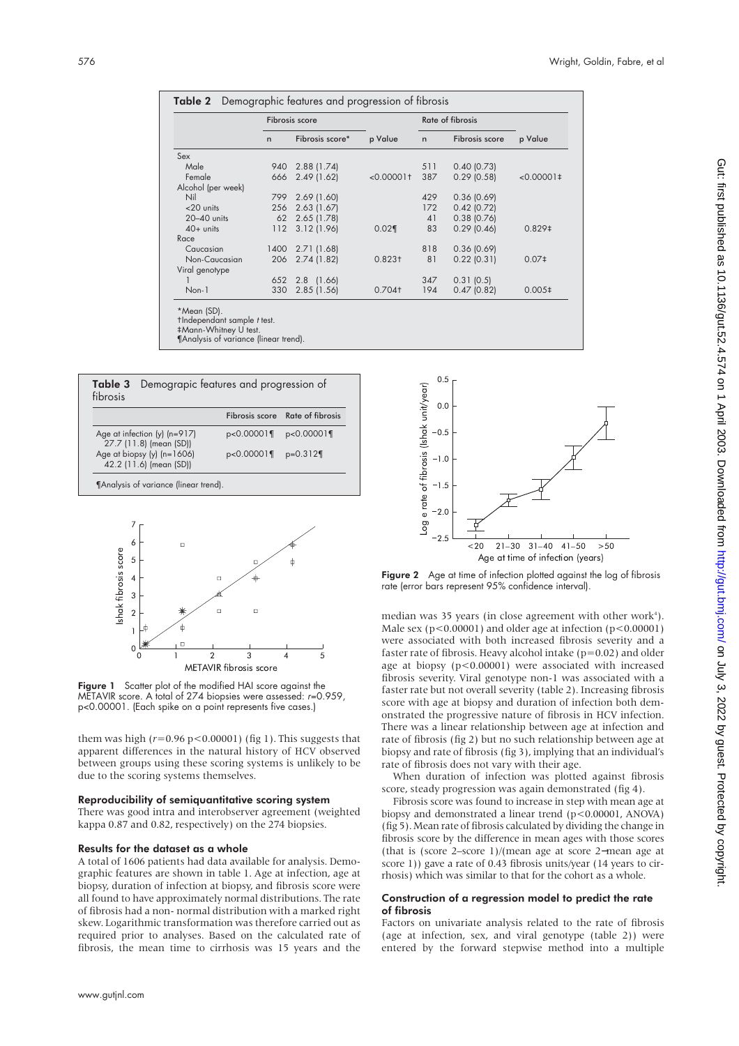|                    |      | Fibrosis score  |                    | Rate of fibrosis |                 |                   |
|--------------------|------|-----------------|--------------------|------------------|-----------------|-------------------|
|                    | n    | Fibrosis score* | p Value            | n                | Fibrosis score  | p Value           |
| Sex                |      |                 |                    |                  |                 |                   |
| Male               | 940  | 2.88(1.74)      |                    | 511              | $0.40$ (0.73)   |                   |
| Female             | 666  | 2.49(1.62)      | $< 0.00001$ †      | 387              | $0.29$ (0.58)   | $< 0.00001$ ‡     |
| Alcohol (per week) |      |                 |                    |                  |                 |                   |
| Nil                | 799  | $2.69$ (1.60)   |                    | 429              | $0.36$ $(0.69)$ |                   |
| $<$ 20 units       | 256  | $2.63$ (1.67)   |                    | 172              | $0.42$ (0.72)   |                   |
| $20 - 40$ units    | 62   | $2.65$ (1.78)   |                    | 41               | $0.38$ (0.76)   |                   |
| $40+$ units        | 112  | 3.12(1.96)      | 0.02               | 83               | $0.29$ (0.46)   | $0.829$ ‡         |
| Race               |      |                 |                    |                  |                 |                   |
| Caucasian          | 1400 | 2.71 (1.68)     |                    | 818              | $0.36$ $(0.69)$ |                   |
| Non-Caucasian      | 206  | 2.74 (1.82)     | 0.823 <sub>†</sub> | 81               | $0.22$ (0.31)   | 0.07 <sup>‡</sup> |
| Viral genotype     |      |                 |                    |                  |                 |                   |
|                    | 652  | $2.8$ (1.66)    |                    | 347              | 0.31(0.5)       |                   |
| Non-1              | 330  | $2.85$ (1.56)   | $0.704$ t          | 194              | $0.47$ (0.82)   | $0.005 \pm$       |

†Independant sample *t* test. ‡Mann-Whitney U test.

¶Analysis of variance (linear trend).





Figure 1 Scatter plot of the modified HAI score against the METAVIR score. A total of 274 biopsies were assessed: *r*=0.959, p<0.00001. (Each spike on a point represents five cases.)

them was high  $(r=0.96 \text{ p} < 0.00001)$  (fig 1). This suggests that apparent differences in the natural history of HCV observed between groups using these scoring systems is unlikely to be due to the scoring systems themselves.

#### Reproducibility of semiquantitative scoring system

There was good intra and interobserver agreement (weighted kappa 0.87 and 0.82, respectively) on the 274 biopsies.

# Results for the dataset as a whole

A total of 1606 patients had data available for analysis. Demographic features are shown in table 1. Age at infection, age at biopsy, duration of infection at biopsy, and fibrosis score were all found to have approximately normal distributions. The rate of fibrosis had a non- normal distribution with a marked right skew. Logarithmic transformation was therefore carried out as required prior to analyses. Based on the calculated rate of fibrosis, the mean time to cirrhosis was 15 years and the



Figure 2 Age at time of infection plotted against the log of fibrosis rate (error bars represent 95% confidence interval).

median was 35 years (in close agreement with other work<sup>4</sup>). Male sex ( $p < 0.00001$ ) and older age at infection ( $p < 0.00001$ ) were associated with both increased fibrosis severity and a faster rate of fibrosis. Heavy alcohol intake  $(p=0.02)$  and older age at biopsy (p<0.00001) were associated with increased fibrosis severity. Viral genotype non-1 was associated with a faster rate but not overall severity (table 2). Increasing fibrosis score with age at biopsy and duration of infection both demonstrated the progressive nature of fibrosis in HCV infection. There was a linear relationship between age at infection and rate of fibrosis (fig 2) but no such relationship between age at biopsy and rate of fibrosis (fig 3), implying that an individual's rate of fibrosis does not vary with their age.

When duration of infection was plotted against fibrosis score, steady progression was again demonstrated (fig 4).

Fibrosis score was found to increase in step with mean age at biopsy and demonstrated a linear trend (p<0.00001, ANOVA) (fig 5).Mean rate of fibrosis calculated by dividing the change in fibrosis score by the difference in mean ages with those scores (that is (score 2–score 1)/(mean age at score 2−mean age at score 1)) gave a rate of 0.43 fibrosis units/year (14 years to cirrhosis) which was similar to that for the cohort as a whole.

## Construction of a regression model to predict the rate of fibrosis

Factors on univariate analysis related to the rate of fibrosis (age at infection, sex, and viral genotype (table 2)) were entered by the forward stepwise method into a multiple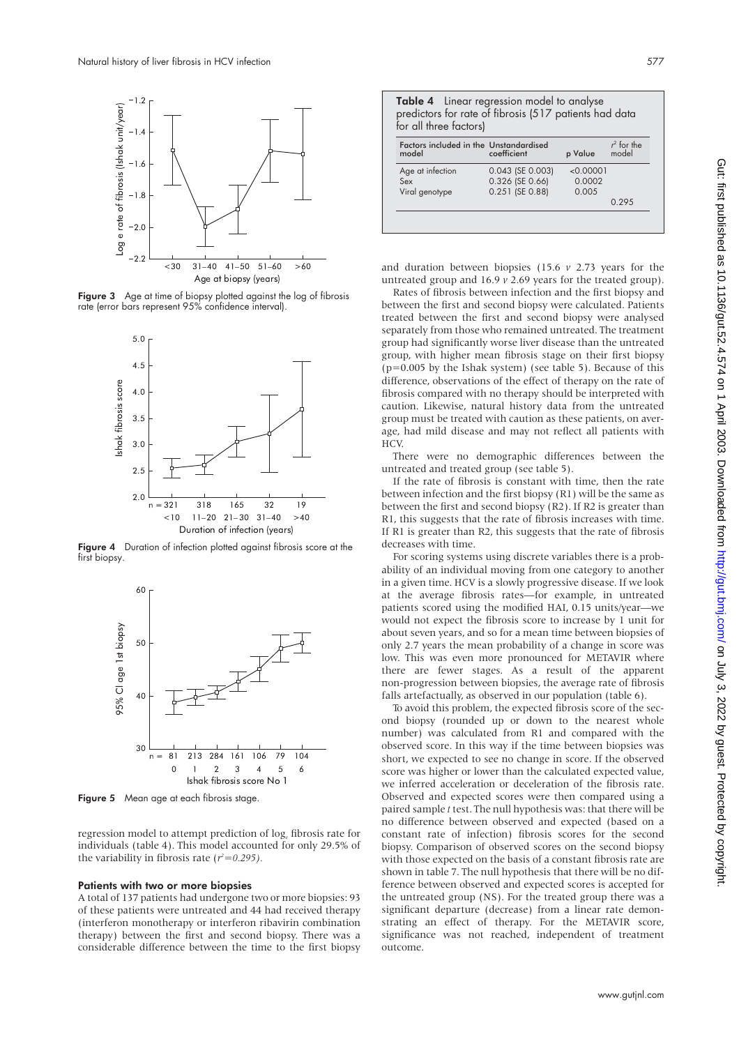

Figure 3 Age at time of biopsy plotted against the log of fibrosis rate (error bars represent 95% confidence interval).



Figure 4 Duration of infection plotted against fibrosis score at the first biopsy.



Figure 5 Mean age at each fibrosis stage.

regression model to attempt prediction of log. fibrosis rate for individuals (table 4). This model accounted for only 29.5% of the variability in fibrosis rate  $(r^2=0.295)$ .

#### Patients with two or more biopsies

A total of 137 patients had undergone two or more biopsies: 93 of these patients were untreated and 44 had received therapy (interferon monotherapy or interferon ribavirin combination therapy) between the first and second biopsy. There was a considerable difference between the time to the first biopsy

| for all three factors)                          |                  |           |                        |
|-------------------------------------------------|------------------|-----------|------------------------|
| Factors included in the Unstandardised<br>model | coefficient      | p Value   | $r^2$ for the<br>model |
| Age at infection                                | 0.043 (SE 0.003) | < 0.00001 |                        |
| Sex                                             | 0.326 (SE 0.66)  | 0.0002    |                        |
| Viral genotype                                  | 0.251 (SE 0.88)  | 0.005     |                        |
|                                                 |                  |           | 0.295                  |

and duration between biopsies (15.6 *v* 2.73 years for the untreated group and 16.9 *v* 2.69 years for the treated group).

Rates of fibrosis between infection and the first biopsy and between the first and second biopsy were calculated. Patients treated between the first and second biopsy were analysed separately from those who remained untreated. The treatment group had significantly worse liver disease than the untreated group, with higher mean fibrosis stage on their first biopsy  $(p=0.005$  by the Ishak system) (see table 5). Because of this difference, observations of the effect of therapy on the rate of fibrosis compared with no therapy should be interpreted with caution. Likewise, natural history data from the untreated group must be treated with caution as these patients, on average, had mild disease and may not reflect all patients with HCV.

There were no demographic differences between the untreated and treated group (see table 5).

If the rate of fibrosis is constant with time, then the rate between infection and the first biopsy (R1) will be the same as between the first and second biopsy (R2). If R2 is greater than R1, this suggests that the rate of fibrosis increases with time. If R1 is greater than R2, this suggests that the rate of fibrosis decreases with time.

For scoring systems using discrete variables there is a probability of an individual moving from one category to another in a given time. HCV is a slowly progressive disease. If we look at the average fibrosis rates—for example, in untreated patients scored using the modified HAI, 0.15 units/year—we would not expect the fibrosis score to increase by 1 unit for about seven years, and so for a mean time between biopsies of only 2.7 years the mean probability of a change in score was low. This was even more pronounced for METAVIR where there are fewer stages. As a result of the apparent non-progression between biopsies, the average rate of fibrosis falls artefactually, as observed in our population (table 6).

To avoid this problem, the expected fibrosis score of the second biopsy (rounded up or down to the nearest whole number) was calculated from R1 and compared with the observed score. In this way if the time between biopsies was short, we expected to see no change in score. If the observed score was higher or lower than the calculated expected value, we inferred acceleration or deceleration of the fibrosis rate. Observed and expected scores were then compared using a paired sample *t* test. The null hypothesis was: that there will be no difference between observed and expected (based on a constant rate of infection) fibrosis scores for the second biopsy. Comparison of observed scores on the second biopsy with those expected on the basis of a constant fibrosis rate are shown in table 7. The null hypothesis that there will be no difference between observed and expected scores is accepted for the untreated group (NS). For the treated group there was a significant departure (decrease) from a linear rate demonstrating an effect of therapy. For the METAVIR score, significance was not reached, independent of treatment outcome.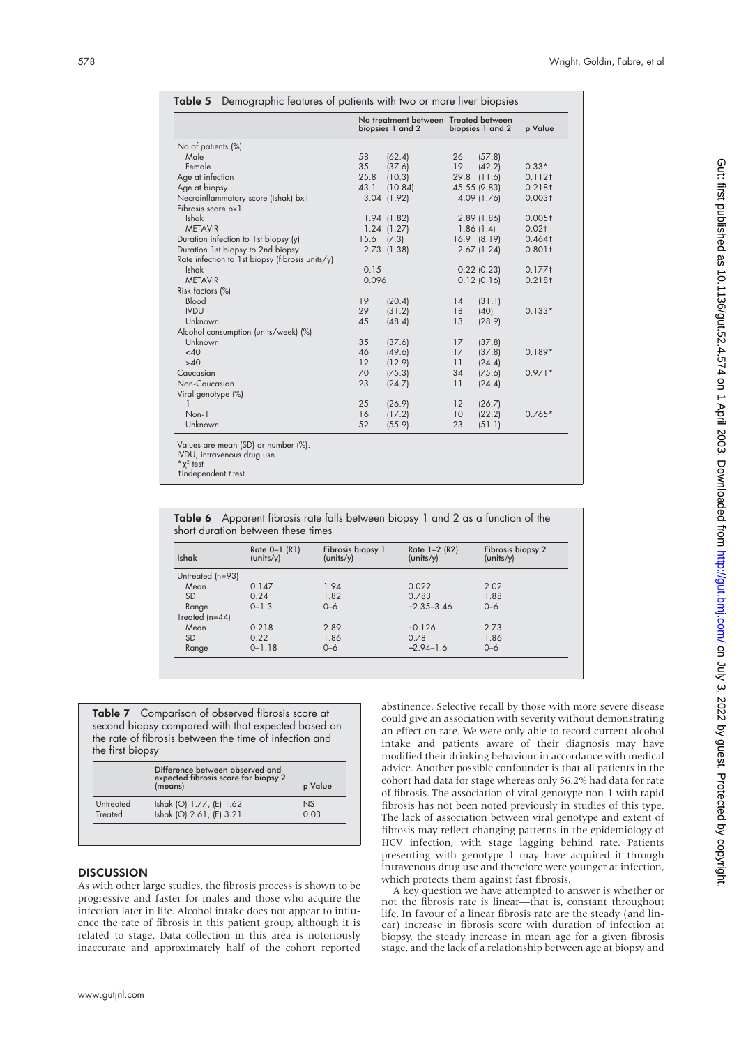|                                                 |       | No treatment between Treated between<br>biopsies 1 and 2 |    | biopsies 1 and 2 | p Value              |
|-------------------------------------------------|-------|----------------------------------------------------------|----|------------------|----------------------|
| No of patients (%)                              |       |                                                          |    |                  |                      |
| Male                                            | 58    | (62.4)                                                   | 26 | (57.8)           |                      |
| Female                                          | 35    | (37.6)                                                   | 19 | (42.2)           | $0.33*$              |
| Age at infection                                | 25.8  | (10.3)                                                   |    | 29.8 (11.6)      | $0.112$ t            |
| Age at biopsy                                   | 43.1  | (10.84)                                                  |    | 45.55 (9.83)     | 0.218 <sub>1</sub>   |
| Necroinflammatory score (Ishak) bx1             |       | 3.04 (1.92)                                              |    | 4.09 (1.76)      | 0.003 <sub>†</sub>   |
| Fibrosis score bx1                              |       |                                                          |    |                  |                      |
| Ishak                                           |       | 1.94(1.82)                                               |    | $2.89$ (1.86)    | 0.005 <sub>†</sub>   |
| <b>METAVIR</b>                                  |       | $1.24$ $(1.27)$                                          |    | 1.86(1.4)        | 0.02 <sub>1</sub>    |
| Duration infection to 1st biopsy (y)            | 15.6  | (7.3)                                                    |    | $16.9$ $(8.19)$  | $0.464$ <sup>+</sup> |
| Duration 1st biopsy to 2nd biopsy               |       | 2.73 (1.38)                                              |    | $2.67$ (1.24)    | 0.801 <sup>†</sup>   |
| Rate infection to 1st biopsy (fibrosis units/y) |       |                                                          |    |                  |                      |
| <b>Ishak</b>                                    | 0.15  |                                                          |    | $0.22$ (0.23)    | $0.177$ <sup>+</sup> |
| <b>METAVIR</b>                                  | 0.096 |                                                          |    | $0.12$ (0.16)    | 0.218 <sub>†</sub>   |
| Risk factors (%)                                |       |                                                          |    |                  |                      |
| Blood                                           | 19    | (20.4)                                                   | 14 | (31.1)           |                      |
| <b>IVDU</b>                                     | 29    | (31.2)                                                   | 18 | (40)             | $0.133*$             |
| Unknown                                         | 45    | (48.4)                                                   | 13 | (28.9)           |                      |
| Alcohol consumption (units/week) (%)            |       |                                                          |    |                  |                      |
| Unknown                                         | 35    | (37.6)                                                   | 17 | (37.8)           |                      |
| <40                                             | 46    | (49.6)                                                   | 17 | (37.8)           | $0.189*$             |
| >40                                             | 12    | (12.9)                                                   | 11 | (24.4)           |                      |
| Caucasian                                       | 70    | (75.3)                                                   | 34 | (75.6)           | $0.971*$             |
| Non-Caucasian                                   | 23    | (24.7)                                                   | 11 | (24.4)           |                      |
| Viral genotype (%)                              |       |                                                          |    |                  |                      |
| 1                                               | 25    | (26.9)                                                   | 12 | (26.7)           |                      |
| Non-1                                           | 16    | (17.2)                                                   | 10 | (22.2)           | $0.765*$             |
| Unknown                                         | 52    | (55.9)                                                   | 23 | (51.1)           |                      |

\*χ<sup>2</sup> test †Independent *t* test.

Table 6 Apparent fibrosis rate falls between biopsy 1 and 2 as a function of the short duration between these times

| <b>Ishak</b>     | Rate 0-1 (R1)<br>(units/y) | Fibrosis biopsy 1<br>(units/y) | Rate 1-2 (R2)<br>(units/y) | Fibrosis biopsy 2<br>(units/y) |
|------------------|----------------------------|--------------------------------|----------------------------|--------------------------------|
| Untreated (n=93) |                            |                                |                            |                                |
| Mean             | 0.147                      | 1.94                           | 0.022                      | 2.02                           |
| <b>SD</b>        | 0.24                       | 1.82                           | 0.783                      | 1.88                           |
| Range            | $0 - 1.3$                  | $0 - 6$                        | $-2.35 - 3.46$             | $0 - 6$                        |
| Treated (n=44)   |                            |                                |                            |                                |
| Mean             | 0.218                      | 2.89                           | $-0.126$                   | 2.73                           |
| <b>SD</b>        | 0.22                       | 1.86                           | 0.78                       | 1.86                           |
| Range            | $0 - 1.18$                 | $0 - 6$                        | $-2.94-1.6$                | $0 - 6$                        |

Table 7 Comparison of observed fibrosis score at second biopsy compared with that expected based on the rate of fibrosis between the time of infection and the first biopsy

|           | Difference between observed and<br>expected fibrosis score for biopsy 2<br>(means) | p Value |
|-----------|------------------------------------------------------------------------------------|---------|
| Untreated | Ishak (O) 1.77, (E) 1.62                                                           | NS      |
| Treated   | Ishak (O) 2.61, (E) 3.21                                                           | 0.03    |

# **DISCUSSION**

As with other large studies, the fibrosis process is shown to be progressive and faster for males and those who acquire the infection later in life. Alcohol intake does not appear to influence the rate of fibrosis in this patient group, although it is related to stage. Data collection in this area is notoriously inaccurate and approximately half of the cohort reported abstinence. Selective recall by those with more severe disease could give an association with severity without demonstrating an effect on rate. We were only able to record current alcohol intake and patients aware of their diagnosis may have modified their drinking behaviour in accordance with medical advice. Another possible confounder is that all patients in the cohort had data for stage whereas only 56.2% had data for rate of fibrosis. The association of viral genotype non-1 with rapid fibrosis has not been noted previously in studies of this type. The lack of association between viral genotype and extent of fibrosis may reflect changing patterns in the epidemiology of HCV infection, with stage lagging behind rate. Patients presenting with genotype 1 may have acquired it through intravenous drug use and therefore were younger at infection, which protects them against fast fibrosis.

A key question we have attempted to answer is whether or not the fibrosis rate is linear—that is, constant throughout life. In favour of a linear fibrosis rate are the steady (and linear) increase in fibrosis score with duration of infection at biopsy, the steady increase in mean age for a given fibrosis stage, and the lack of a relationship between age at biopsy and